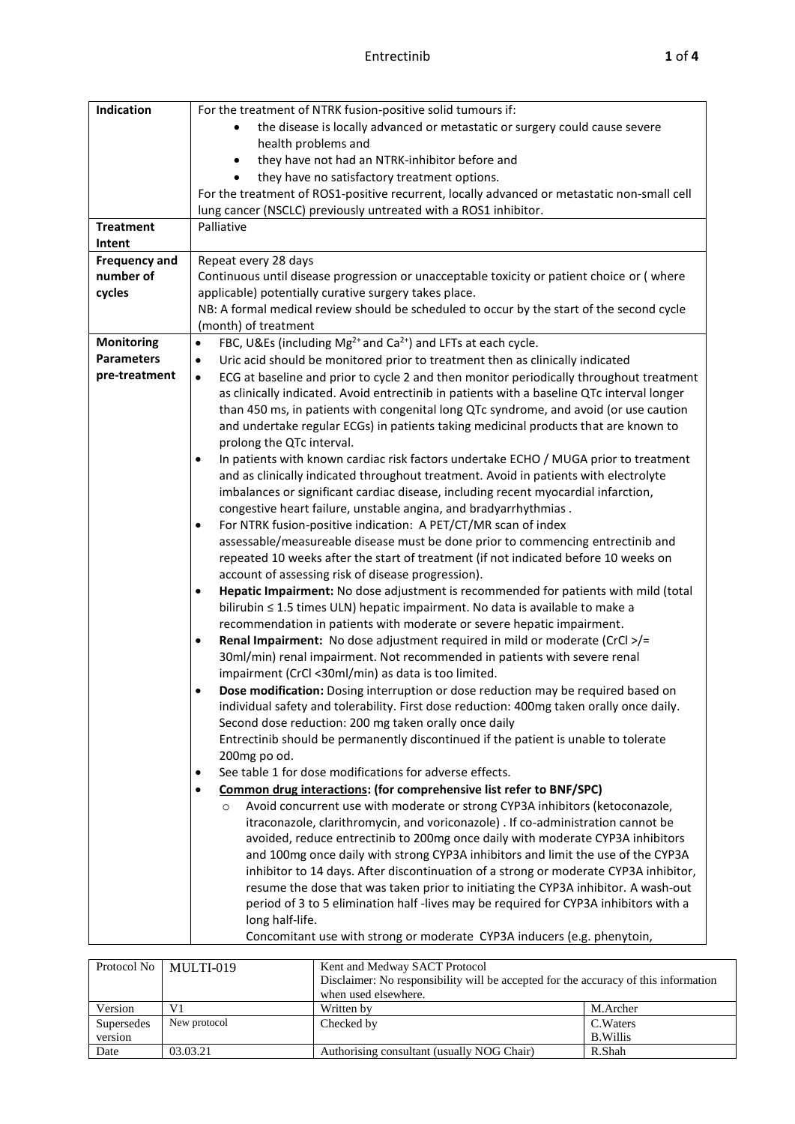| Indication           | For the treatment of NTRK fusion-positive solid tumours if:                                          |  |  |  |  |
|----------------------|------------------------------------------------------------------------------------------------------|--|--|--|--|
|                      | the disease is locally advanced or metastatic or surgery could cause severe                          |  |  |  |  |
|                      | health problems and                                                                                  |  |  |  |  |
|                      | they have not had an NTRK-inhibitor before and<br>$\bullet$                                          |  |  |  |  |
|                      | they have no satisfactory treatment options.                                                         |  |  |  |  |
|                      | For the treatment of ROS1-positive recurrent, locally advanced or metastatic non-small cell          |  |  |  |  |
|                      | lung cancer (NSCLC) previously untreated with a ROS1 inhibitor.                                      |  |  |  |  |
| <b>Treatment</b>     | Palliative                                                                                           |  |  |  |  |
| Intent               |                                                                                                      |  |  |  |  |
| <b>Frequency and</b> | Repeat every 28 days                                                                                 |  |  |  |  |
| number of            | Continuous until disease progression or unacceptable toxicity or patient choice or (where            |  |  |  |  |
| cycles               | applicable) potentially curative surgery takes place.                                                |  |  |  |  |
|                      | NB: A formal medical review should be scheduled to occur by the start of the second cycle            |  |  |  |  |
|                      | (month) of treatment                                                                                 |  |  |  |  |
| <b>Monitoring</b>    | FBC, U&Es (including Mg <sup>2+</sup> and Ca <sup>2+</sup> ) and LFTs at each cycle.<br>$\bullet$    |  |  |  |  |
| <b>Parameters</b>    | Uric acid should be monitored prior to treatment then as clinically indicated<br>$\bullet$           |  |  |  |  |
| pre-treatment        | ECG at baseline and prior to cycle 2 and then monitor periodically throughout treatment<br>$\bullet$ |  |  |  |  |
|                      | as clinically indicated. Avoid entrectinib in patients with a baseline QTc interval longer           |  |  |  |  |
|                      | than 450 ms, in patients with congenital long QTc syndrome, and avoid (or use caution                |  |  |  |  |
|                      | and undertake regular ECGs) in patients taking medicinal products that are known to                  |  |  |  |  |
|                      | prolong the QTc interval.                                                                            |  |  |  |  |
|                      | In patients with known cardiac risk factors undertake ECHO / MUGA prior to treatment<br>$\bullet$    |  |  |  |  |
|                      | and as clinically indicated throughout treatment. Avoid in patients with electrolyte                 |  |  |  |  |
|                      | imbalances or significant cardiac disease, including recent myocardial infarction,                   |  |  |  |  |
|                      | congestive heart failure, unstable angina, and bradyarrhythmias.                                     |  |  |  |  |
|                      | For NTRK fusion-positive indication: A PET/CT/MR scan of index<br>$\bullet$                          |  |  |  |  |
|                      | assessable/measureable disease must be done prior to commencing entrectinib and                      |  |  |  |  |
|                      | repeated 10 weeks after the start of treatment (if not indicated before 10 weeks on                  |  |  |  |  |
|                      | account of assessing risk of disease progression).                                                   |  |  |  |  |
|                      | Hepatic Impairment: No dose adjustment is recommended for patients with mild (total<br>٠             |  |  |  |  |
|                      | bilirubin ≤ 1.5 times ULN) hepatic impairment. No data is available to make a                        |  |  |  |  |
|                      | recommendation in patients with moderate or severe hepatic impairment.                               |  |  |  |  |
|                      | Renal Impairment: No dose adjustment required in mild or moderate (CrCl >/=<br>٠                     |  |  |  |  |
|                      | 30ml/min) renal impairment. Not recommended in patients with severe renal                            |  |  |  |  |
|                      | impairment (CrCl <30ml/min) as data is too limited.                                                  |  |  |  |  |
|                      | Dose modification: Dosing interruption or dose reduction may be required based on<br>٠               |  |  |  |  |
|                      | individual safety and tolerability. First dose reduction: 400mg taken orally once daily.             |  |  |  |  |
|                      | Second dose reduction: 200 mg taken orally once daily                                                |  |  |  |  |
|                      | Entrectinib should be permanently discontinued if the patient is unable to tolerate                  |  |  |  |  |
|                      | 200mg po od.                                                                                         |  |  |  |  |
|                      | See table 1 for dose modifications for adverse effects.<br>٠                                         |  |  |  |  |
|                      | Common drug interactions: (for comprehensive list refer to BNF/SPC)<br>$\bullet$                     |  |  |  |  |
|                      | Avoid concurrent use with moderate or strong CYP3A inhibitors (ketoconazole,<br>$\circ$              |  |  |  |  |
|                      | itraconazole, clarithromycin, and voriconazole) . If co-administration cannot be                     |  |  |  |  |
|                      | avoided, reduce entrectinib to 200mg once daily with moderate CYP3A inhibitors                       |  |  |  |  |
|                      | and 100mg once daily with strong CYP3A inhibitors and limit the use of the CYP3A                     |  |  |  |  |
|                      | inhibitor to 14 days. After discontinuation of a strong or moderate CYP3A inhibitor,                 |  |  |  |  |
|                      | resume the dose that was taken prior to initiating the CYP3A inhibitor. A wash-out                   |  |  |  |  |
|                      | period of 3 to 5 elimination half-lives may be required for CYP3A inhibitors with a                  |  |  |  |  |
|                      | long half-life.                                                                                      |  |  |  |  |
|                      | Concomitant use with strong or moderate CYP3A inducers (e.g. phenytoin,                              |  |  |  |  |

| Protocol No           | MULTI-019    | Kent and Medway SACT Protocol<br>Disclaimer: No responsibility will be accepted for the accuracy of this information<br>when used elsewhere. |                              |  |
|-----------------------|--------------|----------------------------------------------------------------------------------------------------------------------------------------------|------------------------------|--|
| Version               | V1           | Written by                                                                                                                                   | M.Archer                     |  |
| Supersedes<br>version | New protocol | Checked by                                                                                                                                   | C. Waters<br><b>B.Willis</b> |  |
| Date                  | 03.03.21     | Authorising consultant (usually NOG Chair)                                                                                                   | R.Shah                       |  |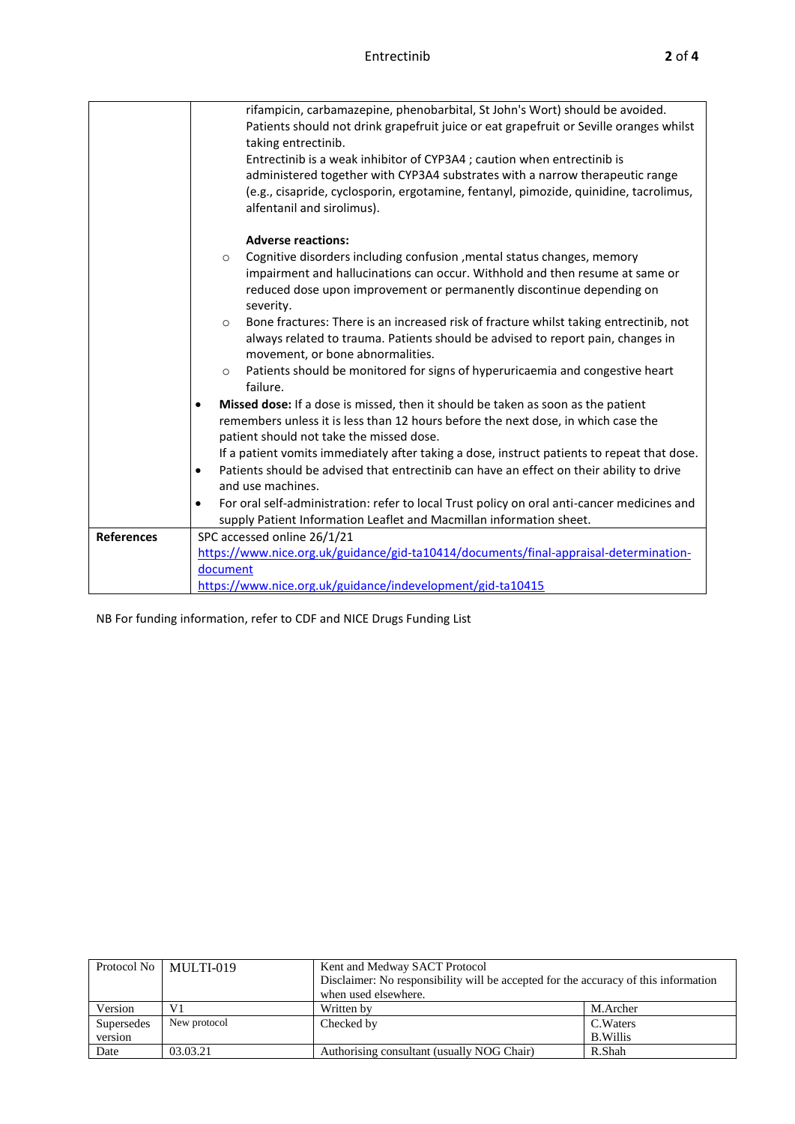| <b>References</b> | supply Patient Information Leaflet and Macmillan information sheet.<br>SPC accessed online 26/1/21<br>https://www.nice.org.uk/guidance/gid-ta10414/documents/final-appraisal-determination- |  |  |  |  |  |
|-------------------|---------------------------------------------------------------------------------------------------------------------------------------------------------------------------------------------|--|--|--|--|--|
|                   | For oral self-administration: refer to local Trust policy on oral anti-cancer medicines and<br>٠                                                                                            |  |  |  |  |  |
|                   | and use machines.                                                                                                                                                                           |  |  |  |  |  |
|                   | Patients should be advised that entrectinib can have an effect on their ability to drive<br>٠                                                                                               |  |  |  |  |  |
|                   | If a patient vomits immediately after taking a dose, instruct patients to repeat that dose.                                                                                                 |  |  |  |  |  |
|                   | remembers unless it is less than 12 hours before the next dose, in which case the<br>patient should not take the missed dose.                                                               |  |  |  |  |  |
|                   | Missed dose: If a dose is missed, then it should be taken as soon as the patient<br>$\bullet$                                                                                               |  |  |  |  |  |
|                   | Patients should be monitored for signs of hyperuricaemia and congestive heart<br>$\circ$<br>failure.                                                                                        |  |  |  |  |  |
|                   | always related to trauma. Patients should be advised to report pain, changes in<br>movement, or bone abnormalities.                                                                         |  |  |  |  |  |
|                   | Bone fractures: There is an increased risk of fracture whilst taking entrectinib, not<br>$\circ$                                                                                            |  |  |  |  |  |
|                   | reduced dose upon improvement or permanently discontinue depending on<br>severity.                                                                                                          |  |  |  |  |  |
|                   | impairment and hallucinations can occur. Withhold and then resume at same or                                                                                                                |  |  |  |  |  |
|                   | <b>Adverse reactions:</b><br>Cognitive disorders including confusion , mental status changes, memory<br>$\circ$                                                                             |  |  |  |  |  |
|                   |                                                                                                                                                                                             |  |  |  |  |  |
|                   | (e.g., cisapride, cyclosporin, ergotamine, fentanyl, pimozide, quinidine, tacrolimus,<br>alfentanil and sirolimus).                                                                         |  |  |  |  |  |
|                   | administered together with CYP3A4 substrates with a narrow therapeutic range                                                                                                                |  |  |  |  |  |
|                   | taking entrectinib.<br>Entrectinib is a weak inhibitor of CYP3A4 ; caution when entrectinib is                                                                                              |  |  |  |  |  |
|                   | rifampicin, carbamazepine, phenobarbital, St John's Wort) should be avoided.<br>Patients should not drink grapefruit juice or eat grapefruit or Seville oranges whilst                      |  |  |  |  |  |

NB For funding information, refer to CDF and NICE Drugs Funding List

| Protocol No           | MULTI-019    | Kent and Medway SACT Protocol<br>Disclaimer: No responsibility will be accepted for the accuracy of this information<br>when used elsewhere. |                              |  |
|-----------------------|--------------|----------------------------------------------------------------------------------------------------------------------------------------------|------------------------------|--|
| Version               | V1           | Written by                                                                                                                                   | M.Archer                     |  |
| Supersedes<br>version | New protocol | Checked by                                                                                                                                   | C. Waters<br><b>B.Willis</b> |  |
| Date                  | 03.03.21     | Authorising consultant (usually NOG Chair)                                                                                                   | R.Shah                       |  |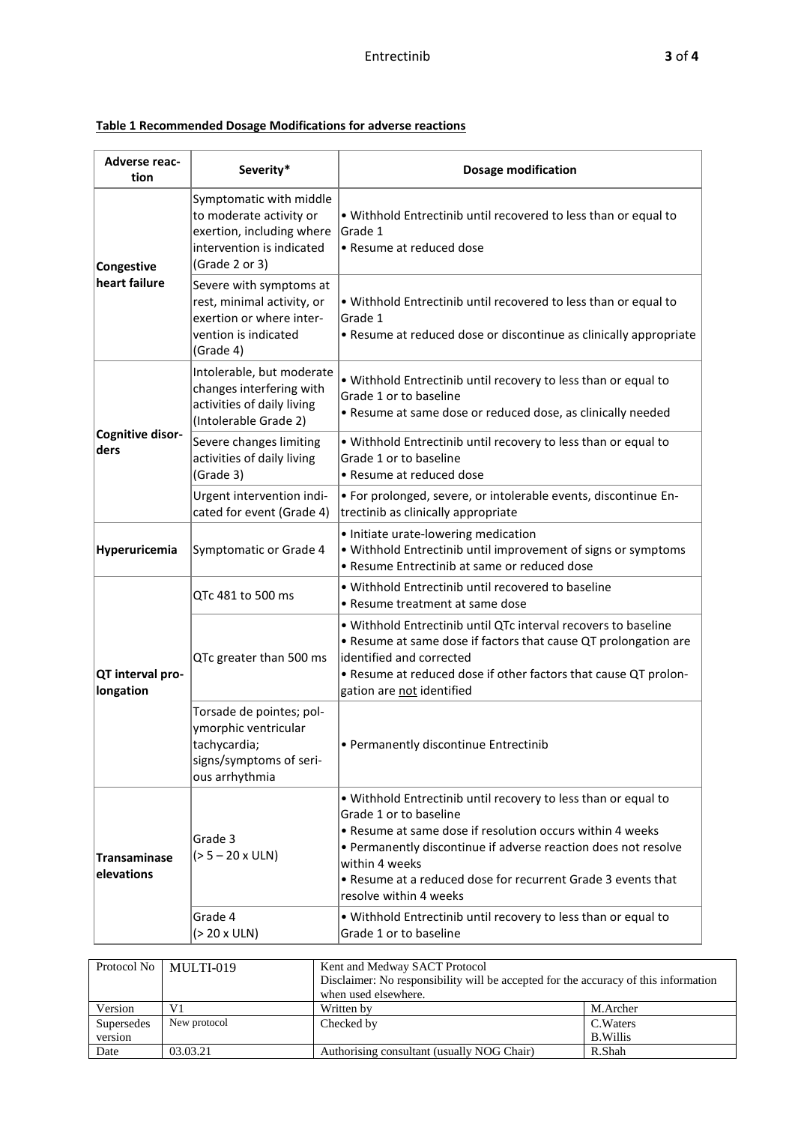## **Table 1 Recommended Dosage Modifications for adverse reactions**

| <b>Adverse reac-</b><br>tion      | Severity*                                                                                                                      | <b>Dosage modification</b>                                                                                                                                                                                                                                                                                                          |  |  |  |
|-----------------------------------|--------------------------------------------------------------------------------------------------------------------------------|-------------------------------------------------------------------------------------------------------------------------------------------------------------------------------------------------------------------------------------------------------------------------------------------------------------------------------------|--|--|--|
| Congestive                        | Symptomatic with middle<br>to moderate activity or<br>exertion, including where<br>intervention is indicated<br>(Grade 2 or 3) | . Withhold Entrectinib until recovered to less than or equal to<br>Grade 1<br>• Resume at reduced dose                                                                                                                                                                                                                              |  |  |  |
| heart failure                     | Severe with symptoms at<br>rest, minimal activity, or<br>exertion or where inter-<br>vention is indicated<br>(Grade 4)         | . Withhold Entrectinib until recovered to less than or equal to<br>Grade 1<br>• Resume at reduced dose or discontinue as clinically appropriate                                                                                                                                                                                     |  |  |  |
|                                   | Intolerable, but moderate<br>changes interfering with<br>activities of daily living<br>(Intolerable Grade 2)                   | . Withhold Entrectinib until recovery to less than or equal to<br>Grade 1 or to baseline<br>• Resume at same dose or reduced dose, as clinically needed                                                                                                                                                                             |  |  |  |
| Cognitive disor-<br>ders          | Severe changes limiting<br>activities of daily living<br>(Grade 3)                                                             | . Withhold Entrectinib until recovery to less than or equal to<br>Grade 1 or to baseline<br>• Resume at reduced dose                                                                                                                                                                                                                |  |  |  |
|                                   | Urgent intervention indi-<br>cated for event (Grade 4)                                                                         | · For prolonged, severe, or intolerable events, discontinue En-<br>trectinib as clinically appropriate                                                                                                                                                                                                                              |  |  |  |
| Hyperuricemia                     | Symptomatic or Grade 4                                                                                                         | · Initiate urate-lowering medication<br>. Withhold Entrectinib until improvement of signs or symptoms<br>• Resume Entrectinib at same or reduced dose                                                                                                                                                                               |  |  |  |
|                                   | QTc 481 to 500 ms                                                                                                              | . Withhold Entrectinib until recovered to baseline<br>· Resume treatment at same dose                                                                                                                                                                                                                                               |  |  |  |
| QT interval pro-<br>longation     | QTc greater than 500 ms                                                                                                        | . Withhold Entrectinib until QTc interval recovers to baseline<br>• Resume at same dose if factors that cause QT prolongation are<br>identified and corrected<br>. Resume at reduced dose if other factors that cause QT prolon-<br>gation are not identified                                                                       |  |  |  |
|                                   | Torsade de pointes; pol-<br>ymorphic ventricular<br>tachycardia;<br>signs/symptoms of seri-<br>ous arrhythmia                  | • Permanently discontinue Entrectinib                                                                                                                                                                                                                                                                                               |  |  |  |
| <b>Transaminase</b><br>elevations | Grade 3<br>$(> 5 - 20 x ULN)$                                                                                                  | . Withhold Entrectinib until recovery to less than or equal to<br>Grade 1 or to baseline<br>• Resume at same dose if resolution occurs within 4 weeks<br>• Permanently discontinue if adverse reaction does not resolve<br>within 4 weeks<br>. Resume at a reduced dose for recurrent Grade 3 events that<br>resolve within 4 weeks |  |  |  |
|                                   | Grade 4<br>(> 20 x ULN)                                                                                                        | . Withhold Entrectinib until recovery to less than or equal to<br>Grade 1 or to baseline                                                                                                                                                                                                                                            |  |  |  |
| Protocol No                       | MULTI-019                                                                                                                      | Kent and Medway SACT Protocol<br>Disclaimer: No responsibility will be accepted for the accuracy of this information<br>when used elsewhere.                                                                                                                                                                                        |  |  |  |

Version V1 Written by M.Archer Supersedes New protocol Checked by C.Waters

Date 03.03.21 Authorising consultant (usually NOG Chair) R.Shah

B.Willis

New protocol Checked by

Supersedes version